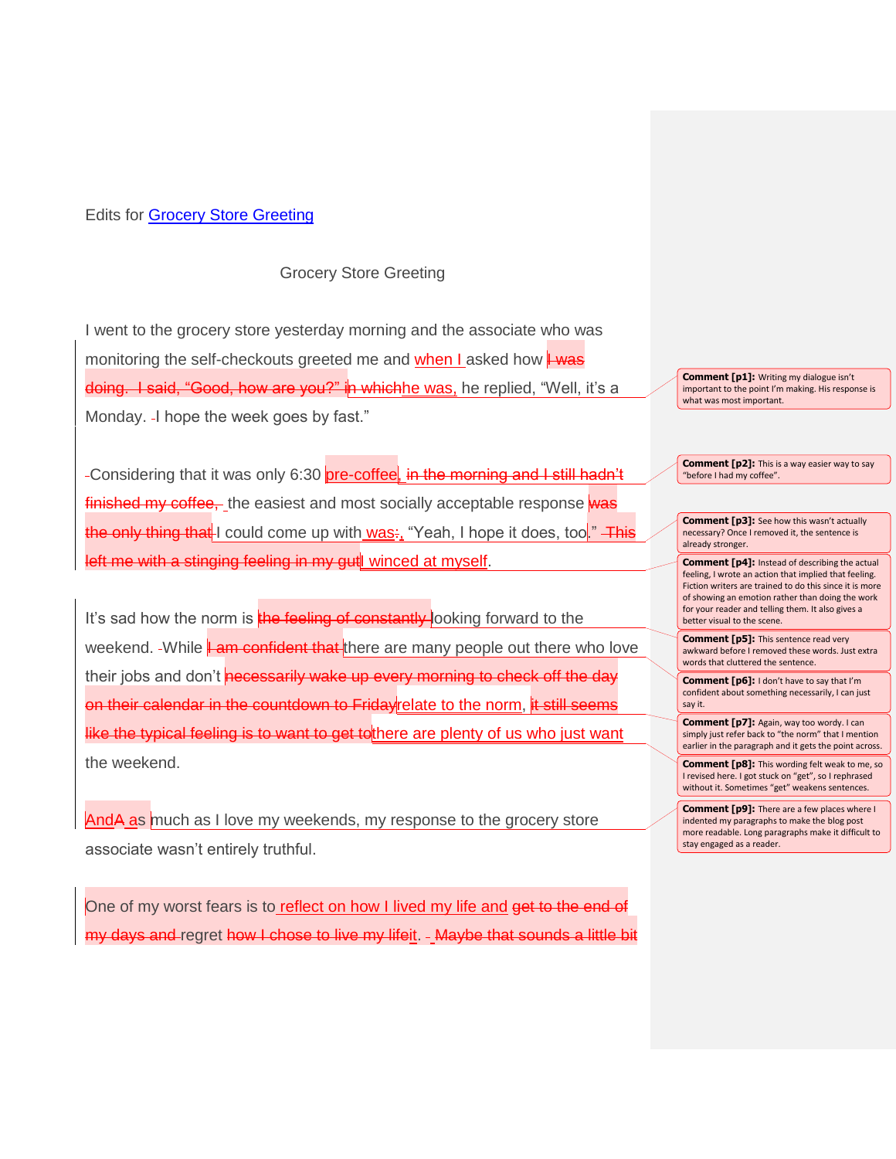## Edits for [Grocery Store Greeting](https://rebeccadifabbio.com/2017/09/12/grocery-store-greeting/#more-251)

## Grocery Store Greeting

I went to the grocery store yesterday morning and the associate who was monitoring the self-checkouts greeted me and when I asked how  $\frac{1}{1}$  was doing. I said, "Good, how are you?" in whichhe was, he replied, "Well, it's a Monday. - I hope the week goes by fast."

-Considering that it was only 6:30 pre-coffee, in the morning and I still hadn't finished my coffee, the easiest and most socially acceptable response was the only thing that I could come up with was:, "Yeah, I hope it does, too." This left me with a stinging feeling in my gut winced at myself.

It's sad how the norm is the feeling of constantly looking forward to the weekend. While **Lam confident that** there are many people out there who love their jobs and don't necessarily wake up every morning to check off the day on their calendar in the countdown to Friday relate to the norm, it still seems like the typical feeling is to want to get to there are plenty of us who just want the weekend.

AndA as much as I love my weekends, my response to the grocery store associate wasn't entirely truthful.

One of my worst fears is to reflect on how I lived my life and get to the end of my days and regret how I chose to live my lifeit. - Maybe that sounds a little bit

**Comment [p1]:** Writing my dialogue isn't important to the point I'm making. His response is what was most important.

**Comment [p2]:** This is a way easier way to say "before I had my coffee".

**Comment [p3]:** See how this wasn't actually necessary? Once I removed it, the sentence is already stronger.

**Comment [p4]:** Instead of describing the actual feeling, I wrote an action that implied that feeling. Fiction writers are trained to do this since it is more of showing an emotion rather than doing the work for your reader and telling them. It also gives a better visual to the scene.

**Comment [p5]:** This sentence read very awkward before I removed these words. Just extra words that cluttered the sentence.

**Comment [p6]:** I don't have to say that I'm confident about something necessarily, I can just say it.

**Comment [p7]:** Again, way too wordy. I can simply just refer back to "the norm" that I mention earlier in the paragraph and it gets the point across.

**Comment [p8]:** This wording felt weak to me, so I revised here. I got stuck on "get", so I rephrased without it. Sometimes "get" weakens sentences.

**Comment [p9]:** There are a few places where I indented my paragraphs to make the blog post more readable. Long paragraphs make it difficult to stay engaged as a reader.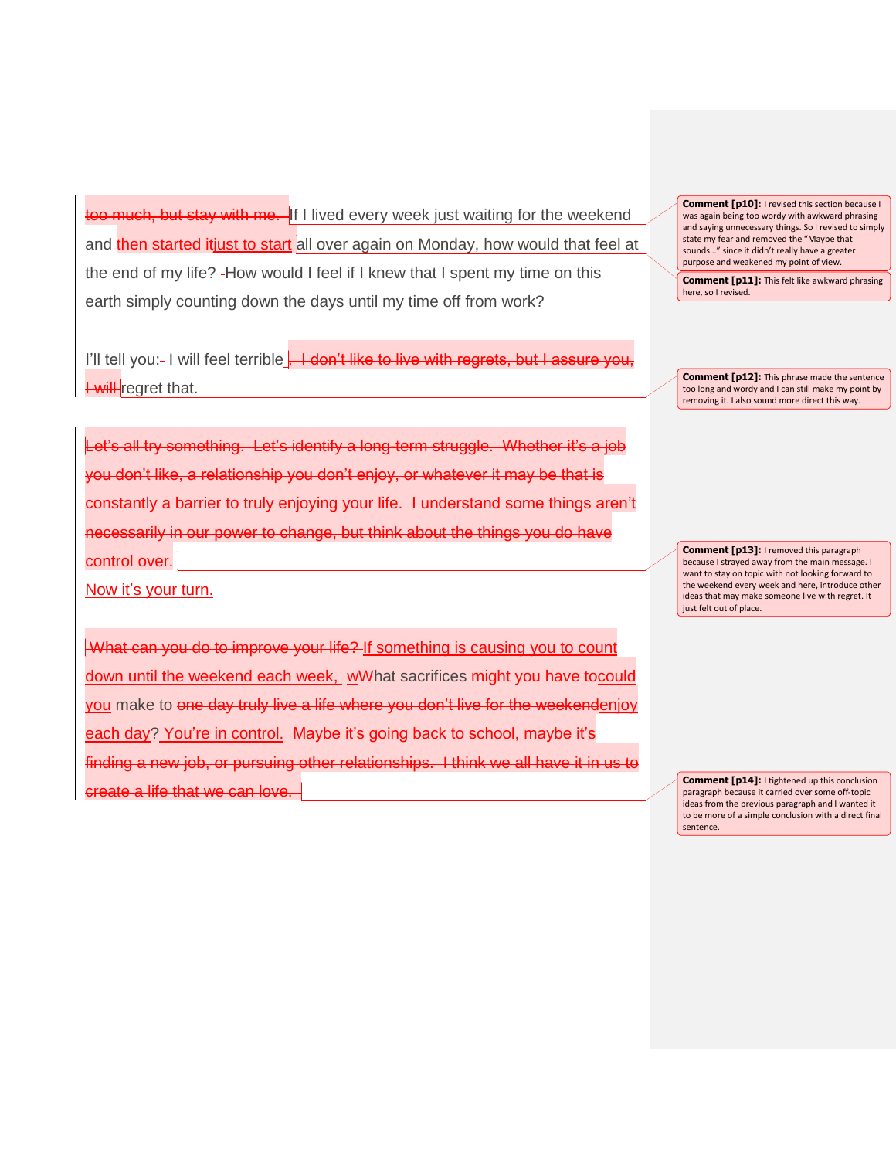too much, but stay with me. If I lived every week just waiting for the weekend and then started itjust to start all over again on Monday, how would that feel at the end of my life? - How would I feel if I knew that I spent my time on this earth simply counting down the days until my time off from work?

I'll tell you:- I will feel terrible . I don't like to live with regrets, but I assure you, **Lwill** regret that.

Let's all try something. Let's identify a long-term struggle. you don't like, a relationship you don't enjoy, or whatever it may be that is constantly a barrier to truly enjoying your life. I understand some things aren't necessarily in our power to change, but think about the things you do have control over.

Now it's your turn.

What can you do to improve your life? If something is causing you to count down until the weekend each week, -wWhat sacrifices might you have to could you make to one day truly live a life where you don't live for the weekendenjoy each day? You're in control.—Maybe it's going back to school, maybe it's finding a new job, or pursuing other relationships. I think we all have it in us to **create a life that we can love** 

**Comment [p10]:** I revised this section because I was again being too wordy with awkward phrasing and saying unnecessary things. So I revised to simply state my fear and removed the "Maybe that sounds…" since it didn't really have a greater purpose and weakened my point of view.

**Comment [p11]:** This felt like awkward phrasing here, so I revised.

**Comment [p12]:** This phrase made the sentence too long and wordy and I can still make my point by removing it. I also sound more direct this way.

**Comment [p13]:** I removed this paragraph because I strayed away from the main message. I want to stay on topic with not looking forward to the weekend every week and here, introduce other ideas that may make someone live with regret. It just felt out of place.

**Comment [p14]:** I tightened up this conclusion paragraph because it carried over some off-topic ideas from the previous paragraph and I wanted it to be more of a simple conclusion with a direct final sentence.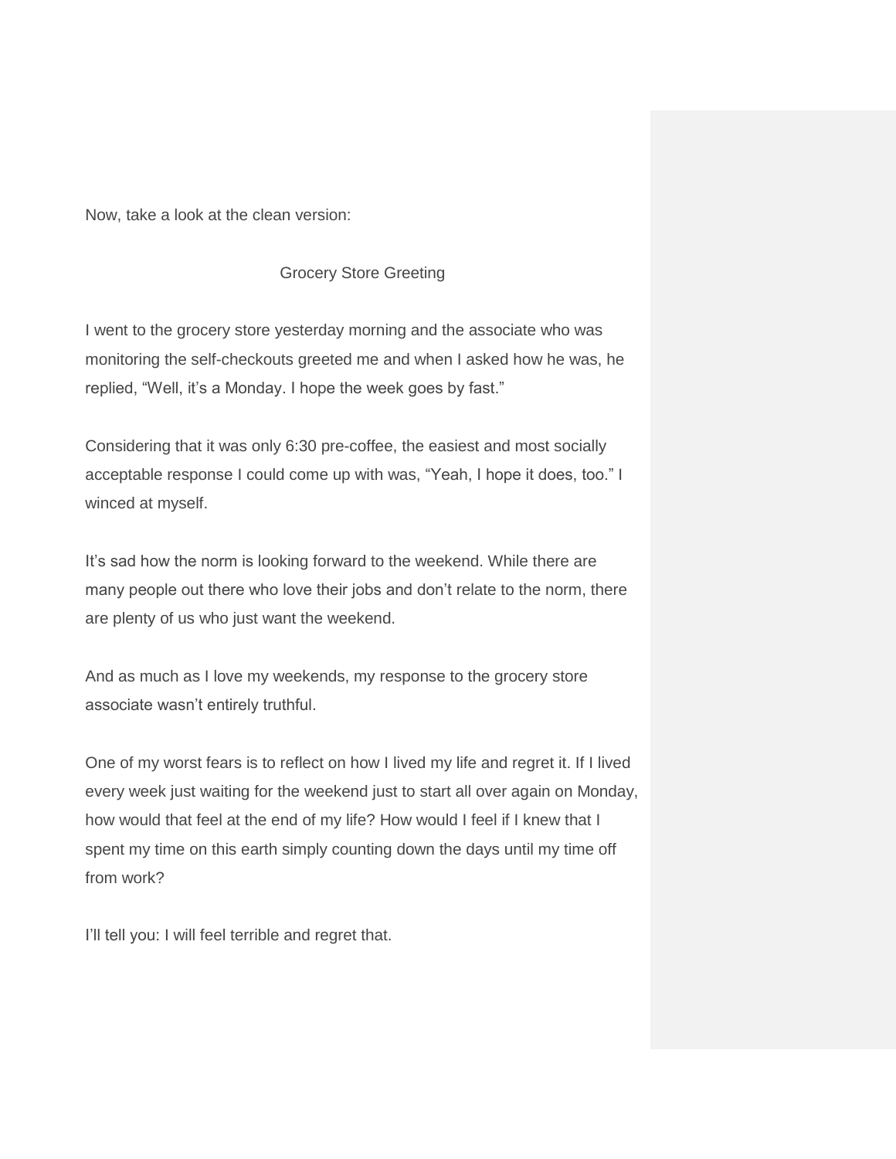Now, take a look at the clean version:

## Grocery Store Greeting

I went to the grocery store yesterday morning and the associate who was monitoring the self-checkouts greeted me and when I asked how he was, he replied, "Well, it's a Monday. I hope the week goes by fast."

Considering that it was only 6:30 pre-coffee, the easiest and most socially acceptable response I could come up with was, "Yeah, I hope it does, too." I winced at myself.

It's sad how the norm is looking forward to the weekend. While there are many people out there who love their jobs and don't relate to the norm, there are plenty of us who just want the weekend.

And as much as I love my weekends, my response to the grocery store associate wasn't entirely truthful.

One of my worst fears is to reflect on how I lived my life and regret it. If I lived every week just waiting for the weekend just to start all over again on Monday, how would that feel at the end of my life? How would I feel if I knew that I spent my time on this earth simply counting down the days until my time off from work?

I'll tell you: I will feel terrible and regret that.